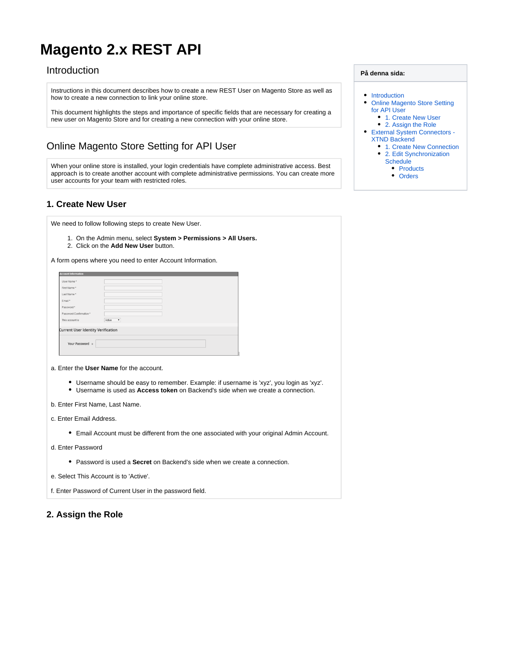# <span id="page-0-0"></span>**Magento 2.x REST API**

## Introduction

Instructions in this document describes how to create a new REST User on Magento Store as well as how to create a new connection to link your online store.

This document highlights the steps and importance of specific fields that are necessary for creating a new user on Magento Store and for creating a new connection with your online store.

## <span id="page-0-1"></span>Online Magento Store Setting for API User

When your online store is installed, your login credentials have complete administrative access. Best approach is to create another account with complete administrative permissions. You can create more user accounts for your team with restricted roles.

## <span id="page-0-2"></span>**1. Create New User**

We need to follow following steps to create New User.

- 1. On the Admin menu, select **System > Permissions > All Users.**
- 2. Click on the **Add New User** button.
- A form opens where you need to enter Account Information.

| <b>Account Information</b>                |                 |
|-------------------------------------------|-----------------|
| User Name*                                |                 |
| First Name*                               |                 |
| Last Name*                                |                 |
| Email*                                    |                 |
| Password*                                 |                 |
| Password Confirmation *                   |                 |
| This account is                           | Active <b>v</b> |
| <b>Current User Identity Verification</b> |                 |
| Your Password *                           |                 |
|                                           |                 |

- a. Enter the **User Name** for the account.
	- Username should be easy to remember. Example: if username is 'xyz', you login as 'xyz'.
	- Username is used as **Access token** on Backend's side when we create a connection.
- b. Enter First Name, Last Name.
- c. Enter Email Address.
	- Email Account must be different from the one associated with your original Admin Account.
- d. Enter Password
	- Password is used a **Secret** on Backend's side when we create a connection.
- e. Select This Account is to 'Active'.

f. Enter Password of Current User in the password field.

## <span id="page-0-3"></span>**2. Assign the Role**

#### **På denna sida:**

- [Introduction](#page-0-0)
- Online Magento Store Setting [for API User](#page-0-1)
	- [1. Create New User](#page-0-2)
- [2. Assign the Role](#page-0-3) [External System Connectors -](#page-1-0) 
	- [XTND Backend](#page-1-0)
	- [1. Create New Connection](#page-1-1)
		- 2. Edit Synchronization
			- **[Schedule](#page-1-2)** • [Products](#page-2-0)
			-
			- [Orders](#page-2-1)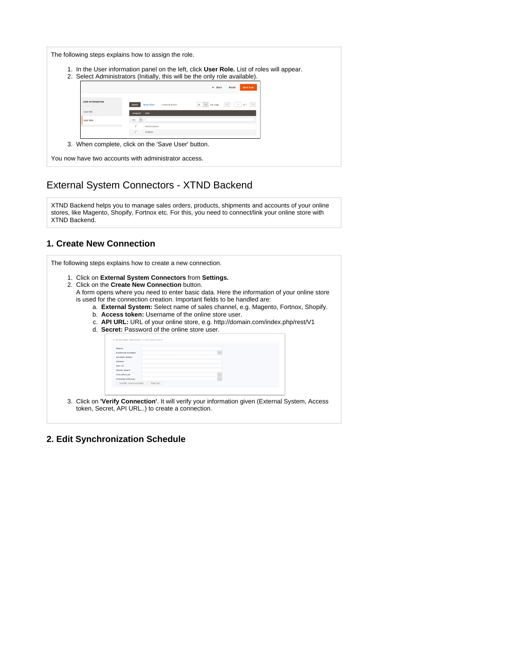|                         | 2. Select Administrators (Initially, this will be the only role available). |
|-------------------------|-----------------------------------------------------------------------------|
|                         | $\leftarrow$ Back<br><b>Save User</b><br>Reset                              |
| <b>USER INFORMATION</b> | <b>Reset Filter</b><br>2 records found<br>20<br>$\mathbf{v}$ .<br>Search    |
| User Info               | <b>Refe</b>                                                                 |
| <b>User Role</b>        | Atty                                                                        |
|                         | <b>Mministrators</b>                                                        |
|                         | TestRole                                                                    |

# <span id="page-1-0"></span>External System Connectors - XTND Backend

XTND Backend helps you to manage sales orders, products, shipments and accounts of your online stores, like Magento, Shopify, Fortnox etc. For this, you need to connect/link your online store with XTND Backend.

## <span id="page-1-1"></span>**1. Create New Connection**

| 1. Click on External System Connectors from Settings.<br>2. Click on the Create New Connection button.<br>d. Secret: Password of the online store user.                                                                                      | A form opens where you need to enter basic data. Here the information of your online store<br>is used for the connection creation. Important fields to be handled are:<br>a. External System: Select name of sales channel, e.g. Magento, Fortnox, Shopify.<br>b. Access token: Username of the online store user.<br>c. <b>API URL:</b> URL of your online store, e.g. http://domain.com/index.php/rest/V1 |  |
|----------------------------------------------------------------------------------------------------------------------------------------------------------------------------------------------------------------------------------------------|-------------------------------------------------------------------------------------------------------------------------------------------------------------------------------------------------------------------------------------------------------------------------------------------------------------------------------------------------------------------------------------------------------------|--|
| <b>EXURTERII SYSUETI CONTRECUI</b><br><b>Navne</b><br><b>External system</b><br>Access token<br>Secret<br>Api url<br>Order start<br>Warehouse<br>CompanyGroup<br>Verify connection Cancel<br>token, Secret, API URL) to create a connection. | $\vert \downarrow$<br>$\sim$<br>$\overline{\phantom{a}}$<br>3. Click on <b>'Verify Connection'</b> . It will verify your information given (External System, Access                                                                                                                                                                                                                                         |  |

<span id="page-1-2"></span>**2. Edit Synchronization Schedule**